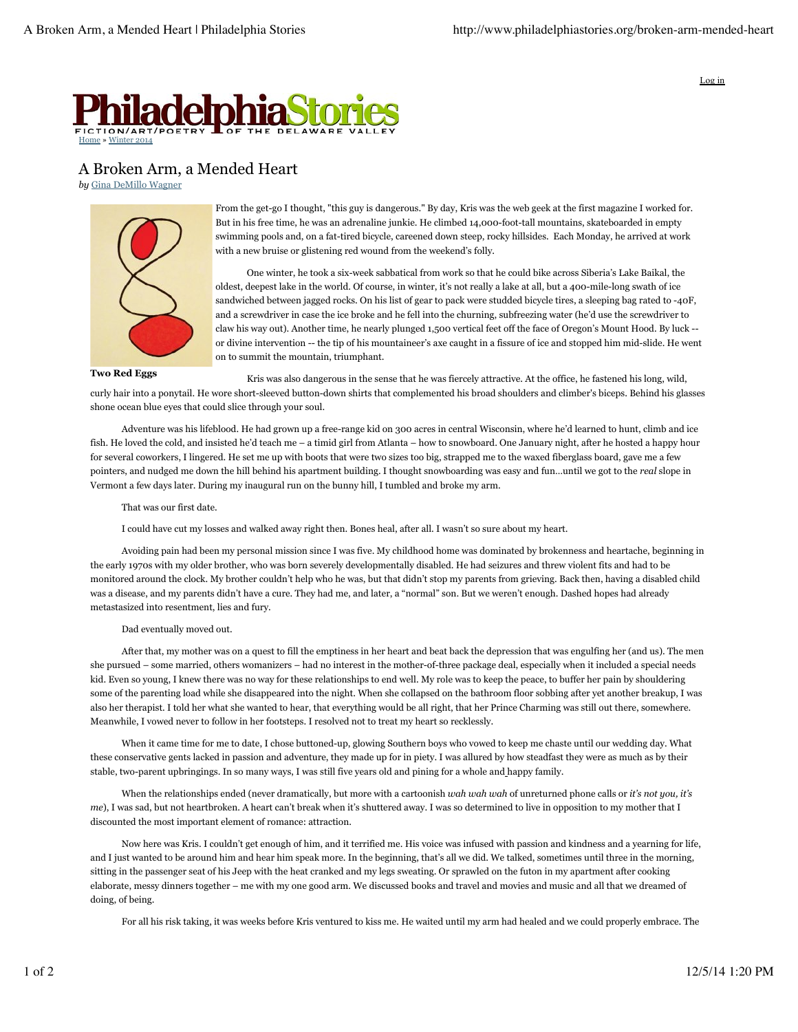

Log in



A Broken Arm, a Mended Heart

*by* Gina DeMillo Wagner



**Two Red Eggs**

From the get-go I thought, "this guy is dangerous." By day, Kris was the web geek at the first magazine I worked for. But in his free time, he was an adrenaline junkie. He climbed 14,000-foot-tall mountains, skateboarded in empty swimming pools and, on a fat-tired bicycle, careened down steep, rocky hillsides. Each Monday, he arrived at work with a new bruise or glistening red wound from the weekend's folly.

One winter, he took a six-week sabbatical from work so that he could bike across Siberia's Lake Baikal, the oldest, deepest lake in the world. Of course, in winter, it's not really a lake at all, but a 400-mile-long swath of ice sandwiched between jagged rocks. On his list of gear to pack were studded bicycle tires, a sleeping bag rated to -40F, and a screwdriver in case the ice broke and he fell into the churning, subfreezing water (he'd use the screwdriver to claw his way out). Another time, he nearly plunged 1,500 vertical feet off the face of Oregon's Mount Hood. By luck - or divine intervention -- the tip of his mountaineer's axe caught in a fissure of ice and stopped him mid-slide. He went on to summit the mountain, triumphant.

Kris was also dangerous in the sense that he was fiercely attractive. At the office, he fastened his long, wild, curly hair into a ponytail. He wore short-sleeved button-down shirts that complemented his broad shoulders and climber's biceps. Behind his glasses shone ocean blue eyes that could slice through your soul.

Adventure was his lifeblood. He had grown up a free-range kid on 300 acres in central Wisconsin, where he'd learned to hunt, climb and ice fish. He loved the cold, and insisted he'd teach me – a timid girl from Atlanta – how to snowboard. One January night, after he hosted a happy hour for several coworkers, I lingered. He set me up with boots that were two sizes too big, strapped me to the waxed fiberglass board, gave me a few pointers, and nudged me down the hill behind his apartment building. I thought snowboarding was easy and fun…until we got to the *real* slope in Vermont a few days later. During my inaugural run on the bunny hill, I tumbled and broke my arm.

That was our first date.

I could have cut my losses and walked away right then. Bones heal, after all. I wasn't so sure about my heart.

Avoiding pain had been my personal mission since I was five. My childhood home was dominated by brokenness and heartache, beginning in the early 1970s with my older brother, who was born severely developmentally disabled. He had seizures and threw violent fits and had to be monitored around the clock. My brother couldn't help who he was, but that didn't stop my parents from grieving. Back then, having a disabled child was a disease, and my parents didn't have a cure. They had me, and later, a "normal" son. But we weren't enough. Dashed hopes had already metastasized into resentment, lies and fury.

## Dad eventually moved out.

After that, my mother was on a quest to fill the emptiness in her heart and beat back the depression that was engulfing her (and us). The men she pursued – some married, others womanizers – had no interest in the mother-of-three package deal, especially when it included a special needs kid. Even so young, I knew there was no way for these relationships to end well. My role was to keep the peace, to buffer her pain by shouldering some of the parenting load while she disappeared into the night. When she collapsed on the bathroom floor sobbing after yet another breakup, I was also her therapist. I told her what she wanted to hear, that everything would be all right, that her Prince Charming was still out there, somewhere. Meanwhile, I vowed never to follow in her footsteps. I resolved not to treat my heart so recklessly.

When it came time for me to date, I chose buttoned-up, glowing Southern boys who vowed to keep me chaste until our wedding day. What these conservative gents lacked in passion and adventure, they made up for in piety. I was allured by how steadfast they were as much as by their stable, two-parent upbringings. In so many ways, I was still five years old and pining for a whole and happy family.

When the relationships ended (never dramatically, but more with a cartoonish *wah wah wah* of unreturned phone calls or *it's not you, it's me*), I was sad, but not heartbroken. A heart can't break when it's shuttered away. I was so determined to live in opposition to my mother that I discounted the most important element of romance: attraction.

Now here was Kris. I couldn't get enough of him, and it terrified me. His voice was infused with passion and kindness and a yearning for life, and I just wanted to be around him and hear him speak more. In the beginning, that's all we did. We talked, sometimes until three in the morning, sitting in the passenger seat of his Jeep with the heat cranked and my legs sweating. Or sprawled on the futon in my apartment after cooking elaborate, messy dinners together – me with my one good arm. We discussed books and travel and movies and music and all that we dreamed of doing, of being.

For all his risk taking, it was weeks before Kris ventured to kiss me. He waited until my arm had healed and we could properly embrace. The